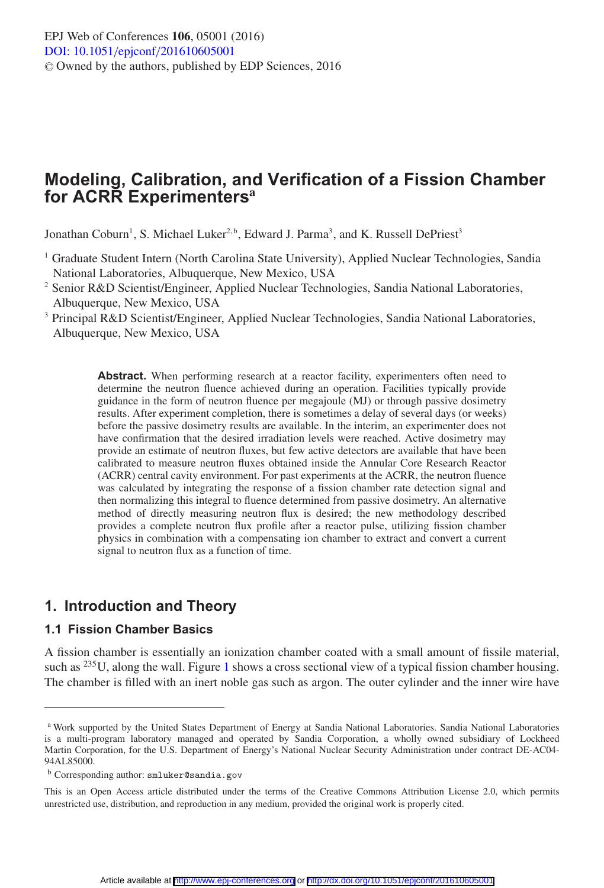# **Modeling, Calibration, and Verification of a Fission Chamber for ACRR Experimenters<sup>a</sup>**

Jonathan Coburn<sup>1</sup>, S. Michael Luker<sup>2, b</sup>, Edward J. Parma<sup>3</sup>, and K. Russell DePriest<sup>3</sup>

- <sup>1</sup> Graduate Student Intern (North Carolina State University), Applied Nuclear Technologies, Sandia National Laboratories, Albuquerque, New Mexico, USA
- <sup>2</sup> Senior R&D Scientist/Engineer, Applied Nuclear Technologies, Sandia National Laboratories, Albuquerque, New Mexico, USA
- <sup>3</sup> Principal R&D Scientist/Engineer, Applied Nuclear Technologies, Sandia National Laboratories, Albuquerque, New Mexico, USA

Abstract. When performing research at a reactor facility, experimenters often need to determine the neutron fluence achieved during an operation. Facilities typically provide guidance in the form of neutron fluence per megajoule (MJ) or through passive dosimetry results. After experiment completion, there is sometimes a delay of several days (or weeks) before the passive dosimetry results are available. In the interim, an experimenter does not have confirmation that the desired irradiation levels were reached. Active dosimetry may provide an estimate of neutron fluxes, but few active detectors are available that have been calibrated to measure neutron fluxes obtained inside the Annular Core Research Reactor (ACRR) central cavity environment. For past experiments at the ACRR, the neutron fluence was calculated by integrating the response of a fission chamber rate detection signal and then normalizing this integral to fluence determined from passive dosimetry. An alternative method of directly measuring neutron flux is desired; the new methodology described provides a complete neutron flux profile after a reactor pulse, utilizing fission chamber physics in combination with a compensating ion chamber to extract and convert a current signal to neutron flux as a function of time.

# **1. Introduction and Theory**

## **1.1 Fission Chamber Basics**

A fission chamber is essentially an ionization chamber coated with a small amount of fissile material, such as <sup>235</sup>U, along the wall. Figure [1](#page-1-0) shows a cross sectional view of a typical fission chamber housing. The chamber is filled with an inert noble gas such as argon. The outer cylinder and the inner wire have

<sup>&</sup>lt;sup>a</sup> Work supported by the United States Department of Energy at Sandia National Laboratories. Sandia National Laboratories is a multi-program laboratory managed and operated by Sandia Corporation, a wholly owned subsidiary of Lockheed Martin Corporation, for the U.S. Department of Energy's National Nuclear Security Administration under contract DE-AC04- 94AL85000.

b Corresponding author: smluker@sandia.gov

This is an Open Access article distributed under the terms of the Creative Commons Attribution License 2.0, which permits unrestricted use, distribution, and reproduction in any medium, provided the original work is properly cited.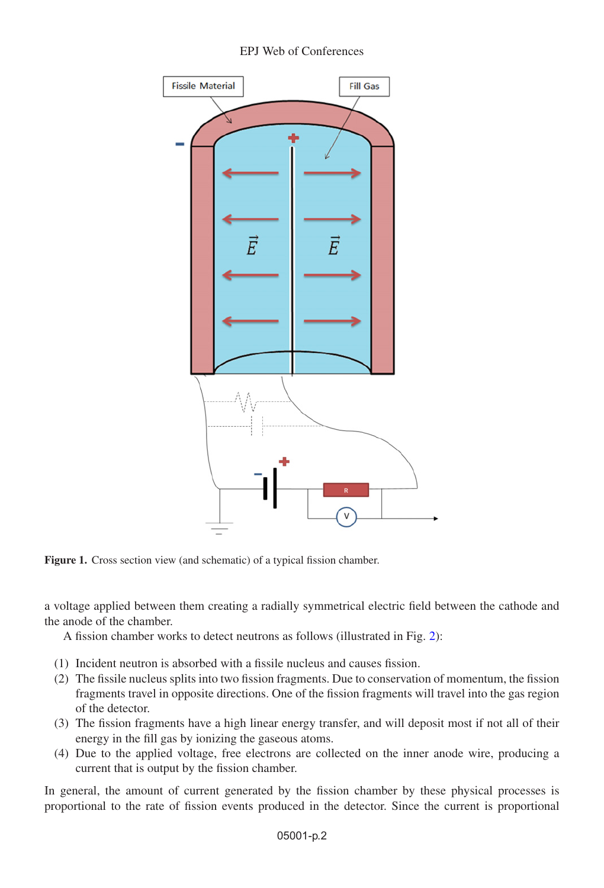## EPJ Web of Conferences

<span id="page-1-0"></span>

**Figure 1.** Cross section view (and schematic) of a typical fission chamber.

a voltage applied between them creating a radially symmetrical electric field between the cathode and the anode of the chamber.

A fission chamber works to detect neutrons as follows (illustrated in Fig. [2\)](#page-2-0):

- (1) Incident neutron is absorbed with a fissile nucleus and causes fission.
- (2) The fissile nucleus splits into two fission fragments. Due to conservation of momentum, the fission fragments travel in opposite directions. One of the fission fragments will travel into the gas region of the detector.
- (3) The fission fragments have a high linear energy transfer, and will deposit most if not all of their energy in the fill gas by ionizing the gaseous atoms.
- (4) Due to the applied voltage, free electrons are collected on the inner anode wire, producing a current that is output by the fission chamber.

In general, the amount of current generated by the fission chamber by these physical processes is proportional to the rate of fission events produced in the detector. Since the current is proportional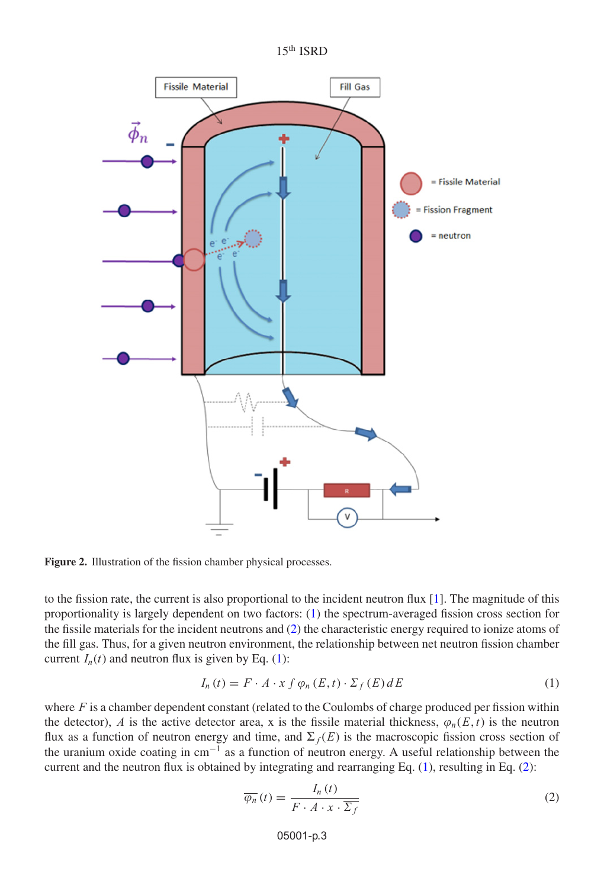

<span id="page-2-0"></span>

**Figure 2.** Illustration of the fission chamber physical processes.

to the fission rate, the current is also proportional to the incident neutron flux [\[1\]](#page-9-0). The magnitude of this proportionality is largely dependent on two factors: [\(1\)](#page-2-1) the spectrum-averaged fission cross section for the fissile materials for the incident neutrons and [\(2\)](#page-2-2) the characteristic energy required to ionize atoms of the fill gas. Thus, for a given neutron environment, the relationship between net neutron fission chamber current  $I_n(t)$  and neutron flux is given by Eq. [\(1\)](#page-2-1):

$$
I_n(t) = F \cdot A \cdot x \int \varphi_n(E, t) \cdot \Sigma_f(E) dE \tag{1}
$$

<span id="page-2-1"></span>where  $F$  is a chamber dependent constant (related to the Coulombs of charge produced per fission within the detector), A is the active detector area, x is the fissile material thickness,  $\varphi_n(E, t)$  is the neutron flux as a function of neutron energy and time, and  $\Sigma_f(E)$  is the macroscopic fission cross section of the uranium oxide coating in cm−<sup>1</sup> as a function of neutron energy. A useful relationship between the current and the neutron flux is obtained by integrating and rearranging Eq. [\(1\)](#page-2-1), resulting in Eq. [\(2\)](#page-2-2):

<span id="page-2-2"></span>
$$
\overline{\varphi_n}\left(t\right) = \frac{I_n\left(t\right)}{F \cdot A \cdot x \cdot \overline{\Sigma_f}}
$$
\n<sup>(2)</sup>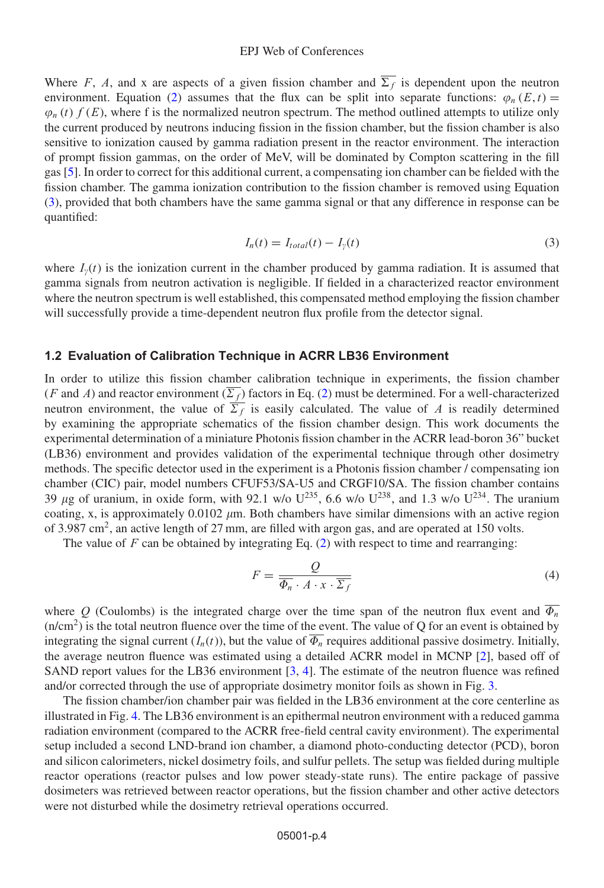#### EPJ Web of Conferences

Where F, A, and x are aspects of a given fission chamber and  $\overline{\Sigma_f}$  is dependent upon the neutron environment. Equation [\(2\)](#page-2-2) assumes that the flux can be split into separate functions:  $\varphi_n(E, t)$  =  $\varphi_n(t)$  f (E), where f is the normalized neutron spectrum. The method outlined attempts to utilize only the current produced by neutrons inducing fission in the fission chamber, but the fission chamber is also sensitive to ionization caused by gamma radiation present in the reactor environment. The interaction of prompt fission gammas, on the order of MeV, will be dominated by Compton scattering in the fill gas [\[5\]](#page-9-1). In order to correct for this additional current, a compensating ion chamber can be fielded with the fission chamber. The gamma ionization contribution to the fission chamber is removed using Equation [\(3\)](#page-3-0), provided that both chambers have the same gamma signal or that any difference in response can be quantified:

<span id="page-3-0"></span>
$$
I_n(t) = I_{total}(t) - I_{\gamma}(t)
$$
\n(3)

where  $I_{\nu}(t)$  is the ionization current in the chamber produced by gamma radiation. It is assumed that gamma signals from neutron activation is negligible. If fielded in a characterized reactor environment where the neutron spectrum is well established, this compensated method employing the fission chamber will successfully provide a time-dependent neutron flux profile from the detector signal.

#### **1.2 Evaluation of Calibration Technique in ACRR LB36 Environment**

In order to utilize this fission chamber calibration technique in experiments, the fission chamber (*F* and *A*) and reactor environment  $(\overline{\Sigma_f})$  factors in Eq. [\(2\)](#page-2-2) must be determined. For a well-characterized neutron environment, the value of  $\overline{\Sigma_f}$  is easily calculated. The value of A is readily determined by examining the appropriate schematics of the fission chamber design. This work documents the experimental determination of a miniature Photonis fission chamber in the ACRR lead-boron 36" bucket (LB36) environment and provides validation of the experimental technique through other dosimetry methods. The specific detector used in the experiment is a Photonis fission chamber / compensating ion chamber (CIC) pair, model numbers CFUF53/SA-U5 and CRGF10/SA. The fission chamber contains 39  $\mu$ g of uranium, in oxide form, with 92.1 w/o U<sup>235</sup>, 6.6 w/o U<sup>238</sup>, and 1.3 w/o U<sup>234</sup>. The uranium coating, x, is approximately  $0.0102 \mu m$ . Both chambers have similar dimensions with an active region of 3.987 cm<sup>2</sup>, an active length of 27 mm, are filled with argon gas, and are operated at 150 volts.

The value of F can be obtained by integrating Eq.  $(2)$  with respect to time and rearranging:

<span id="page-3-1"></span>
$$
F = \frac{Q}{\overline{\Phi_n} \cdot A \cdot x \cdot \overline{\Sigma_f}}
$$
\n(4)

where Q (Coulombs) is the integrated charge over the time span of the neutron flux event and  $\overline{\Phi_n}$  $(n/cm<sup>2</sup>)$  is the total neutron fluence over the time of the event. The value of Q for an event is obtained by integrating the signal current  $(I_n(t))$ , but the value of  $\overline{\Phi_n}$  requires additional passive dosimetry. Initially, the average neutron fluence was estimated using a detailed ACRR model in MCNP [\[2](#page-9-2)], based off of SAND report values for the LB36 environment  $[3, 4]$  $[3, 4]$  $[3, 4]$ . The estimate of the neutron fluence was refined and/or corrected through the use of appropriate dosimetry monitor foils as shown in Fig. [3.](#page-4-0)

The fission chamber/ion chamber pair was fielded in the LB36 environment at the core centerline as illustrated in Fig. [4.](#page-4-1) The LB36 environment is an epithermal neutron environment with a reduced gamma radiation environment (compared to the ACRR free-field central cavity environment). The experimental setup included a second LND-brand ion chamber, a diamond photo-conducting detector (PCD), boron and silicon calorimeters, nickel dosimetry foils, and sulfur pellets. The setup was fielded during multiple reactor operations (reactor pulses and low power steady-state runs). The entire package of passive dosimeters was retrieved between reactor operations, but the fission chamber and other active detectors were not disturbed while the dosimetry retrieval operations occurred.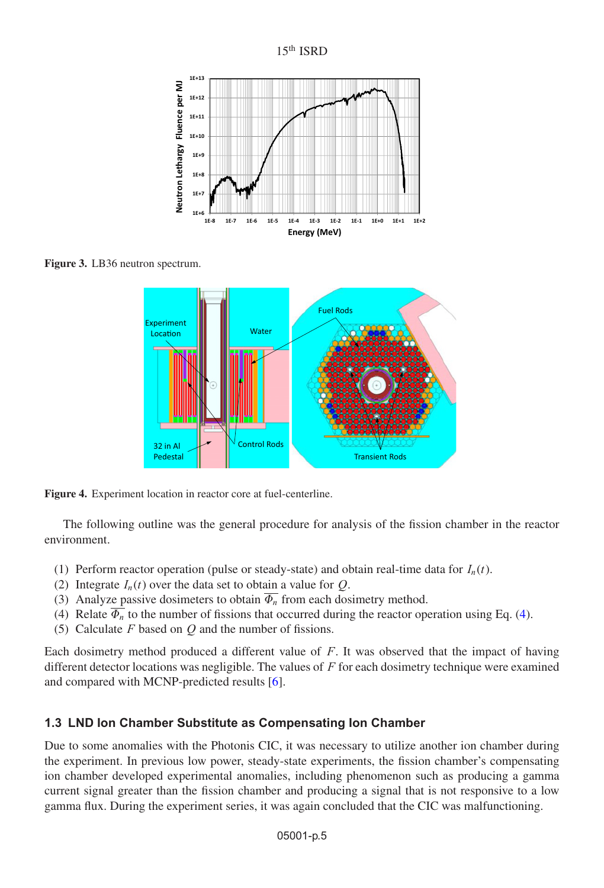

<span id="page-4-0"></span>

<span id="page-4-1"></span>**Figure 3.** LB36 neutron spectrum.



**Figure 4.** Experiment location in reactor core at fuel-centerline.

The following outline was the general procedure for analysis of the fission chamber in the reactor environment.

- (1) Perform reactor operation (pulse or steady-state) and obtain real-time data for  $I_n(t)$ .
- (2) Integrate  $I_n(t)$  over the data set to obtain a value for Q.
- (3) Analyze passive dosimeters to obtain  $\overline{\Phi_n}$  from each dosimetry method.
- [\(4\)](#page-3-1) Relate  $\overline{\Phi_n}$  to the number of fissions that occurred during the reactor operation using Eq. (4).
- (5) Calculate  $F$  based on  $Q$  and the number of fissions.

Each dosimetry method produced a different value of  $F$ . It was observed that the impact of having different detector locations was negligible. The values of  $F$  for each dosimetry technique were examined and compared with MCNP-predicted results [\[6](#page-9-5)].

# **1.3 LND Ion Chamber Substitute as Compensating Ion Chamber**

Due to some anomalies with the Photonis CIC, it was necessary to utilize another ion chamber during the experiment. In previous low power, steady-state experiments, the fission chamber's compensating ion chamber developed experimental anomalies, including phenomenon such as producing a gamma current signal greater than the fission chamber and producing a signal that is not responsive to a low gamma flux. During the experiment series, it was again concluded that the CIC was malfunctioning.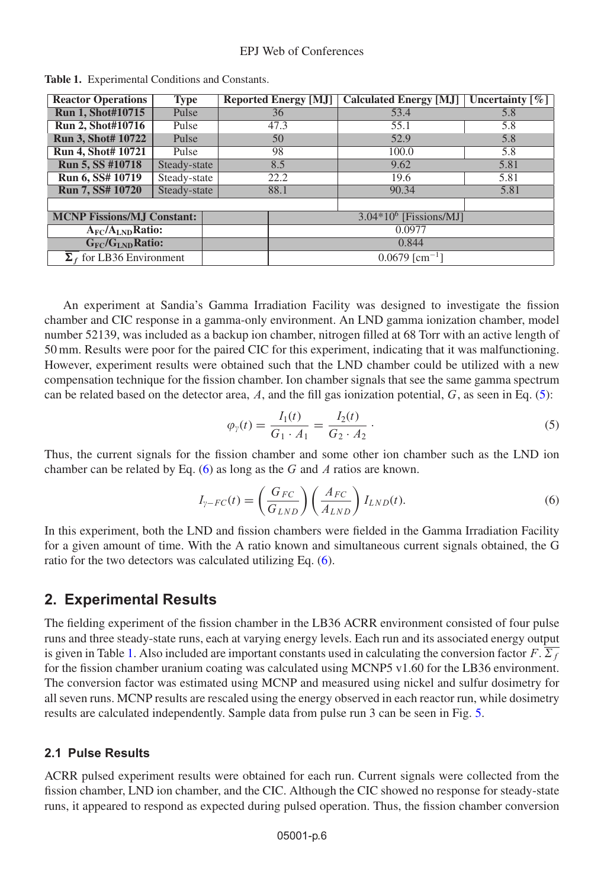| <b>Reactor Operations</b>                | Type         |  | <b>Reported Energy [MJ]</b>  | <b>Calculated Energy [MJ]</b> | Uncertainty $\lceil \% \rceil$ |
|------------------------------------------|--------------|--|------------------------------|-------------------------------|--------------------------------|
| <b>Run 1, Shot#10715</b>                 | Pulse        |  | 36                           | 53.4                          | 5.8                            |
| <b>Run 2, Shot#10716</b>                 | Pulse        |  | 47.3                         | 55.1                          | 5.8                            |
| <b>Run 3, Shot# 10722</b>                | Pulse        |  | 50                           | 52.9                          | 5.8                            |
| Run 4, Shot# 10721                       | Pulse        |  | 98                           | 100.0                         | 5.8                            |
| Run 5, SS #10718                         | Steady-state |  | 8.5                          | 9.62                          | 5.81                           |
| Run 6, SS# 10719                         | Steady-state |  | 22.2                         | 19.6                          | 5.81                           |
| <b>Run 7, SS# 10720</b>                  | Steady-state |  | 88.1                         | 90.34                         | 5.81                           |
|                                          |              |  |                              |                               |                                |
| <b>MCNP Fissions/MJ Constant:</b>        |              |  | $3.04*106$ [Fissions/MJ]     |                               |                                |
| $A_{FC}/A_{LND}$ Ratio:                  |              |  | 0.0977                       |                               |                                |
| G <sub>FC</sub> /G <sub>LND</sub> Ratio: |              |  | 0.844                        |                               |                                |
| $\Sigma_f$ for LB36 Environment          |              |  | $0.0679$ [cm <sup>-1</sup> ] |                               |                                |

<span id="page-5-2"></span>**Table 1.** Experimental Conditions and Constants.

An experiment at Sandia's Gamma Irradiation Facility was designed to investigate the fission chamber and CIC response in a gamma-only environment. An LND gamma ionization chamber, model number 52139, was included as a backup ion chamber, nitrogen filled at 68 Torr with an active length of 50 mm. Results were poor for the paired CIC for this experiment, indicating that it was malfunctioning. However, experiment results were obtained such that the LND chamber could be utilized with a new compensation technique for the fission chamber. Ion chamber signals that see the same gamma spectrum can be related based on the detector area, A, and the fill gas ionization potential,  $G$ , as seen in Eq. [\(5\)](#page-5-0):

$$
\varphi_{\gamma}(t) = \frac{I_1(t)}{G_1 \cdot A_1} = \frac{I_2(t)}{G_2 \cdot A_2} \,. \tag{5}
$$

Thus, the current signals for the fission chamber and some other ion chamber such as the LND ion chamber can be related by Eq.  $(6)$  as long as the G and A ratios are known.

<span id="page-5-0"></span>
$$
I_{\gamma-FC}(t) = \left(\frac{G_{FC}}{G_{LND}}\right) \left(\frac{A_{FC}}{A_{LND}}\right) I_{LND}(t). \tag{6}
$$

<span id="page-5-1"></span>In this experiment, both the LND and fission chambers were fielded in the Gamma Irradiation Facility for a given amount of time. With the A ratio known and simultaneous current signals obtained, the G ratio for the two detectors was calculated utilizing Eq. [\(6\)](#page-5-1).

## **2. Experimental Results**

The fielding experiment of the fission chamber in the LB36 ACRR environment consisted of four pulse runs and three steady-state runs, each at varying energy levels. Each run and its associated energy output is given in Table [1.](#page-5-2) Also included are important constants used in calculating the conversion factor  $F \cdot \overline{\Sigma_f}$ for the fission chamber uranium coating was calculated using MCNP5 v1.60 for the LB36 environment. The conversion factor was estimated using MCNP and measured using nickel and sulfur dosimetry for all seven runs. MCNP results are rescaled using the energy observed in each reactor run, while dosimetry results are calculated independently. Sample data from pulse run 3 can be seen in Fig. [5.](#page-6-0)

#### **2.1 Pulse Results**

ACRR pulsed experiment results were obtained for each run. Current signals were collected from the fission chamber, LND ion chamber, and the CIC. Although the CIC showed no response for steady-state runs, it appeared to respond as expected during pulsed operation. Thus, the fission chamber conversion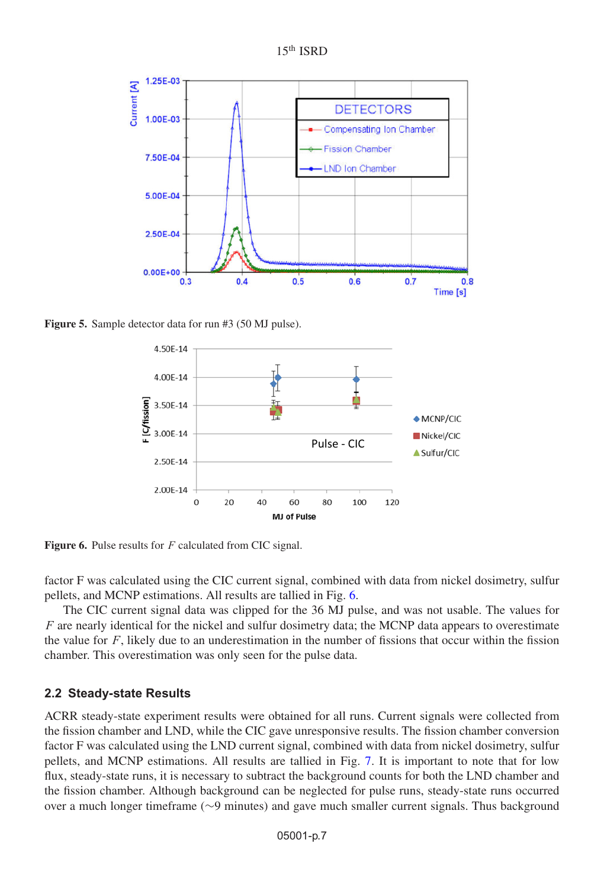

<span id="page-6-0"></span>

<span id="page-6-1"></span>**Figure 5.** Sample detector data for run #3 (50 MJ pulse).



Figure 6. Pulse results for F calculated from CIC signal.

factor F was calculated using the CIC current signal, combined with data from nickel dosimetry, sulfur pellets, and MCNP estimations. All results are tallied in Fig. [6.](#page-6-1)

The CIC current signal data was clipped for the 36 MJ pulse, and was not usable. The values for  $F$  are nearly identical for the nickel and sulfur dosimetry data; the MCNP data appears to overestimate the value for  $F$ , likely due to an underestimation in the number of fissions that occur within the fission chamber. This overestimation was only seen for the pulse data.

#### **2.2 Steady-state Results**

ACRR steady-state experiment results were obtained for all runs. Current signals were collected from the fission chamber and LND, while the CIC gave unresponsive results. The fission chamber conversion factor F was calculated using the LND current signal, combined with data from nickel dosimetry, sulfur pellets, and MCNP estimations. All results are tallied in Fig. [7.](#page-7-0) It is important to note that for low flux, steady-state runs, it is necessary to subtract the background counts for both the LND chamber and the fission chamber. Although background can be neglected for pulse runs, steady-state runs occurred over a much longer timeframe (∼9 minutes) and gave much smaller current signals. Thus background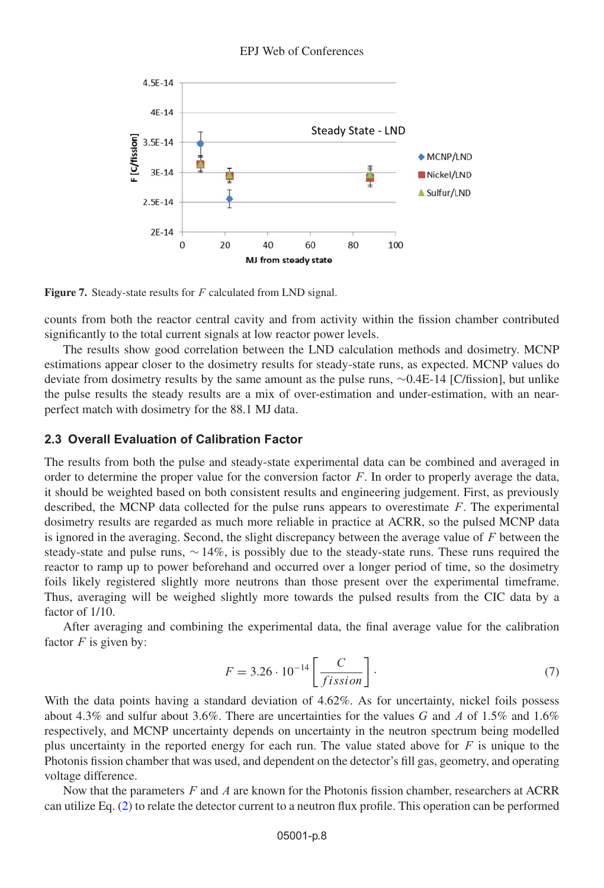<span id="page-7-0"></span>

**Figure 7.** Steady-state results for F calculated from LND signal.

counts from both the reactor central cavity and from activity within the fission chamber contributed significantly to the total current signals at low reactor power levels.

The results show good correlation between the LND calculation methods and dosimetry. MCNP estimations appear closer to the dosimetry results for steady-state runs, as expected. MCNP values do deviate from dosimetry results by the same amount as the pulse runs, ∼0.4E-14 [C/fission], but unlike the pulse results the steady results are a mix of over-estimation and under-estimation, with an nearperfect match with dosimetry for the 88.1 MJ data.

## **2.3 Overall Evaluation of Calibration Factor**

The results from both the pulse and steady-state experimental data can be combined and averaged in order to determine the proper value for the conversion factor  $F$ . In order to properly average the data, it should be weighted based on both consistent results and engineering judgement. First, as previously described, the MCNP data collected for the pulse runs appears to overestimate F. The experimental dosimetry results are regarded as much more reliable in practice at ACRR, so the pulsed MCNP data is ignored in the averaging. Second, the slight discrepancy between the average value of  $F$  between the steady-state and pulse runs, ∼ 14%, is possibly due to the steady-state runs. These runs required the reactor to ramp up to power beforehand and occurred over a longer period of time, so the dosimetry foils likely registered slightly more neutrons than those present over the experimental timeframe. Thus, averaging will be weighed slightly more towards the pulsed results from the CIC data by a factor of 1/10.

After averaging and combining the experimental data, the final average value for the calibration factor  $F$  is given by:

<span id="page-7-1"></span>
$$
F = 3.26 \cdot 10^{-14} \left[ \frac{C}{fission} \right].
$$
 (7)

With the data points having a standard deviation of 4.62%. As for uncertainty, nickel foils possess about 4.3% and sulfur about 3.6%. There are uncertainties for the values G and A of 1.5% and 1.6% respectively, and MCNP uncertainty depends on uncertainty in the neutron spectrum being modelled plus uncertainty in the reported energy for each run. The value stated above for  $F$  is unique to the Photonis fission chamber that was used, and dependent on the detector's fill gas, geometry, and operating voltage difference.

Now that the parameters  $F$  and  $\Lambda$  are known for the Photonis fission chamber, researchers at ACRR can utilize Eq. [\(2\)](#page-2-2) to relate the detector current to a neutron flux profile. This operation can be performed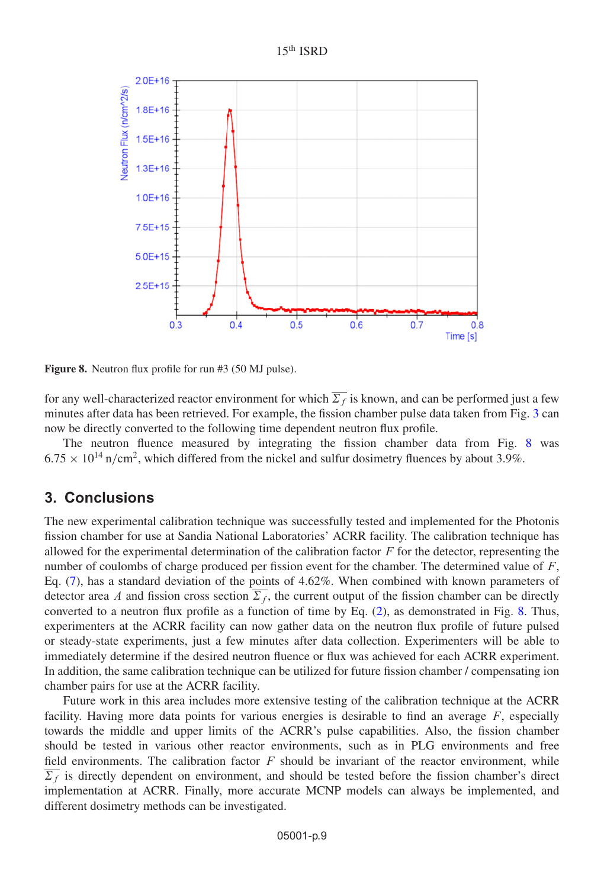

<span id="page-8-0"></span>

**Figure 8.** Neutron flux profile for run #3 (50 MJ pulse).

for any well-characterized reactor environment for which  $\Sigma_f$  is known, and can be performed just a few minutes after data has been retrieved. For example, the fission chamber pulse data taken from Fig. [3](#page-4-0) can now be directly converted to the following time dependent neutron flux profile.

The neutron fluence measured by integrating the fission chamber data from Fig. [8](#page-8-0) was  $6.75 \times 10^{14}$  n/cm<sup>2</sup>, which differed from the nickel and sulfur dosimetry fluences by about 3.9%.

# **3. Conclusions**

The new experimental calibration technique was successfully tested and implemented for the Photonis fission chamber for use at Sandia National Laboratories' ACRR facility. The calibration technique has allowed for the experimental determination of the calibration factor  $F$  for the detector, representing the number of coulombs of charge produced per fission event for the chamber. The determined value of  $F$ , Eq. [\(7\)](#page-7-1), has a standard deviation of the points of 4.62%. When combined with known parameters of detector area A and fission cross section  $\overline{\Sigma_f}$ , the current output of the fission chamber can be directly converted to a neutron flux profile as a function of time by Eq. [\(2\)](#page-2-2), as demonstrated in Fig. [8.](#page-8-0) Thus, experimenters at the ACRR facility can now gather data on the neutron flux profile of future pulsed or steady-state experiments, just a few minutes after data collection. Experimenters will be able to immediately determine if the desired neutron fluence or flux was achieved for each ACRR experiment. In addition, the same calibration technique can be utilized for future fission chamber / compensating ion chamber pairs for use at the ACRR facility.

Future work in this area includes more extensive testing of the calibration technique at the ACRR facility. Having more data points for various energies is desirable to find an average  $F$ , especially towards the middle and upper limits of the ACRR's pulse capabilities. Also, the fission chamber should be tested in various other reactor environments, such as in PLG environments and free field environments. The calibration factor  $F$  should be invariant of the reactor environment, while  $\Sigma_f$  is directly dependent on environment, and should be tested before the fission chamber's direct implementation at ACRR. Finally, more accurate MCNP models can always be implemented, and different dosimetry methods can be investigated.